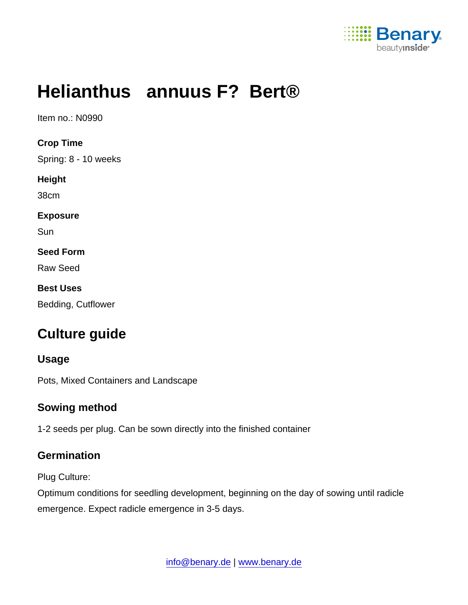

# Helianthus annuus F? Bert®

Item no.: N0990

Crop Time Spring: 8 - 10 weeks Height 38cm Exposure **Sun** Seed Form Raw Seed Best Uses

Bedding, Cutflower

## Culture guide

| Usage                                |
|--------------------------------------|
| Pots, Mixed Containers and Landscape |

#### Sowing method

1-2 seeds per plug. Can be sown directly into the finished container

#### **Germination**

Plug Culture:

Optimum conditions for seedling development, beginning on the day of sowing until radicle emergence. Expect radicle emergence in 3-5 days.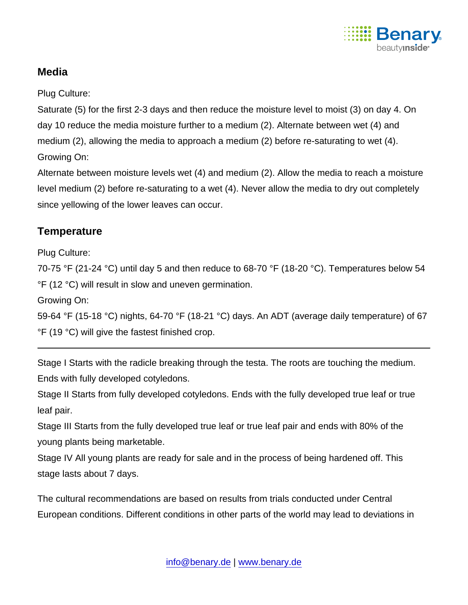

#### **Media**

Plug Culture:

Saturate (5) for the first 2-3 days and then reduce the moisture level to moist (3) on day 4. On day 10 reduce the media moisture further to a medium (2). Alternate between wet (4) and medium (2), allowing the media to approach a medium (2) before re-saturating to wet (4). Growing On:

Alternate between moisture levels wet (4) and medium (2). Allow the media to reach a moisture level medium (2) before re-saturating to a wet (4). Never allow the media to dry out completely since yellowing of the lower leaves can occur.

### **Temperature**

Plug Culture:

70-75 °F (21-24 °C) until day 5 and then reduce to 68-70 °F (18-20 °C). Temperatures below 54 °F (12 °C) will result in slow and uneven germination.

Growing On:

59-64 °F (15-18 °C) nights, 64-70 °F (18-21 °C) days. An ADT (average daily temperature) of 67 °F (19 °C) will give the fastest finished crop.

Stage I Starts with the radicle breaking through the testa. The roots are touching the medium. Ends with fully developed cotyledons.

Stage II Starts from fully developed cotyledons. Ends with the fully developed true leaf or true leaf pair.

Stage III Starts from the fully developed true leaf or true leaf pair and ends with 80% of the young plants being marketable.

Stage IV All young plants are ready for sale and in the process of being hardened off. This stage lasts about 7 days.

The cultural recommendations are based on results from trials conducted under Central European conditions. Different conditions in other parts of the world may lead to deviations in